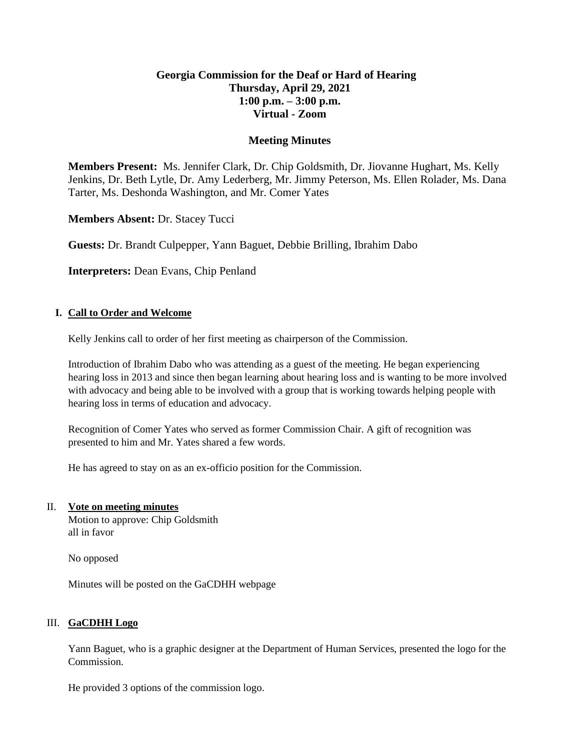# **Georgia Commission for the Deaf or Hard of Hearing Thursday, April 29, 2021 1:00 p.m. – 3:00 p.m. Virtual - Zoom**

### **Meeting Minutes**

**Members Present:** Ms. Jennifer Clark, Dr. Chip Goldsmith, Dr. Jiovanne Hughart, Ms. Kelly Jenkins, Dr. Beth Lytle, Dr. Amy Lederberg, Mr. Jimmy Peterson, Ms. Ellen Rolader, Ms. Dana Tarter, Ms. Deshonda Washington, and Mr. Comer Yates

**Members Absent:** Dr. Stacey Tucci

**Guests:** Dr. Brandt Culpepper, Yann Baguet, Debbie Brilling, Ibrahim Dabo

**Interpreters:** Dean Evans, Chip Penland

### **I. Call to Order and Welcome**

Kelly Jenkins call to order of her first meeting as chairperson of the Commission.

Introduction of Ibrahim Dabo who was attending as a guest of the meeting. He began experiencing hearing loss in 2013 and since then began learning about hearing loss and is wanting to be more involved with advocacy and being able to be involved with a group that is working towards helping people with hearing loss in terms of education and advocacy.

Recognition of Comer Yates who served as former Commission Chair. A gift of recognition was presented to him and Mr. Yates shared a few words.

He has agreed to stay on as an ex-officio position for the Commission.

#### II. **Vote on meeting minutes**

Motion to approve: Chip Goldsmith all in favor

No opposed

Minutes will be posted on the GaCDHH webpage

#### III. **GaCDHH Logo**

Yann Baguet, who is a graphic designer at the Department of Human Services, presented the logo for the Commission.

He provided 3 options of the commission logo.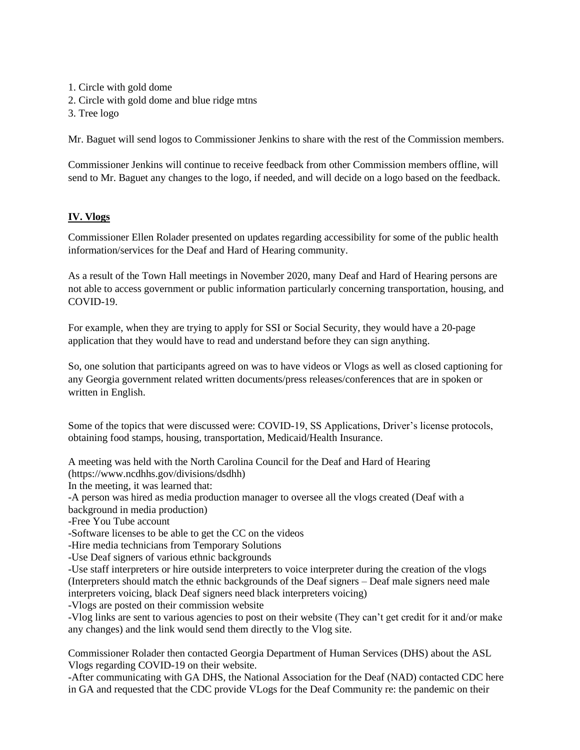1. Circle with gold dome

- 2. Circle with gold dome and blue ridge mtns
- 3. Tree logo

Mr. Baguet will send logos to Commissioner Jenkins to share with the rest of the Commission members.

Commissioner Jenkins will continue to receive feedback from other Commission members offline, will send to Mr. Baguet any changes to the logo, if needed, and will decide on a logo based on the feedback.

## **IV. Vlogs**

Commissioner Ellen Rolader presented on updates regarding accessibility for some of the public health information/services for the Deaf and Hard of Hearing community.

As a result of the Town Hall meetings in November 2020, many Deaf and Hard of Hearing persons are not able to access government or public information particularly concerning transportation, housing, and COVID-19.

For example, when they are trying to apply for SSI or Social Security, they would have a 20-page application that they would have to read and understand before they can sign anything.

So, one solution that participants agreed on was to have videos or Vlogs as well as closed captioning for any Georgia government related written documents/press releases/conferences that are in spoken or written in English.

Some of the topics that were discussed were: COVID-19, SS Applications, Driver's license protocols, obtaining food stamps, housing, transportation, Medicaid/Health Insurance.

A meeting was held with the North Carolina Council for the Deaf and Hard of Hearing (https://www.ncdhhs.gov/divisions/dsdhh)

In the meeting, it was learned that:

-A person was hired as media production manager to oversee all the vlogs created (Deaf with a

background in media production)

-Free You Tube account

-Software licenses to be able to get the CC on the videos

-Hire media technicians from Temporary Solutions

-Use Deaf signers of various ethnic backgrounds

-Use staff interpreters or hire outside interpreters to voice interpreter during the creation of the vlogs (Interpreters should match the ethnic backgrounds of the Deaf signers – Deaf male signers need male interpreters voicing, black Deaf signers need black interpreters voicing)

-Vlogs are posted on their commission website

-Vlog links are sent to various agencies to post on their website (They can't get credit for it and/or make any changes) and the link would send them directly to the Vlog site.

Commissioner Rolader then contacted Georgia Department of Human Services (DHS) about the ASL Vlogs regarding COVID-19 on their website.

-After communicating with GA DHS, the National Association for the Deaf (NAD) contacted CDC here in GA and requested that the CDC provide VLogs for the Deaf Community re: the pandemic on their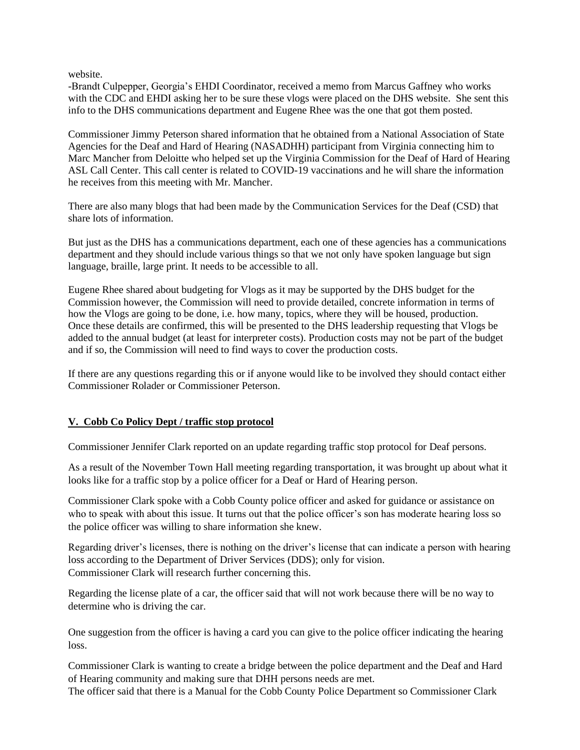website.

-Brandt Culpepper, Georgia's EHDI Coordinator, received a memo from Marcus Gaffney who works with the CDC and EHDI asking her to be sure these vlogs were placed on the DHS website. She sent this info to the DHS communications department and Eugene Rhee was the one that got them posted.

Commissioner Jimmy Peterson shared information that he obtained from a National Association of State Agencies for the Deaf and Hard of Hearing (NASADHH) participant from Virginia connecting him to Marc Mancher from Deloitte who helped set up the Virginia Commission for the Deaf of Hard of Hearing ASL Call Center. This call center is related to COVID-19 vaccinations and he will share the information he receives from this meeting with Mr. Mancher.

There are also many blogs that had been made by the Communication Services for the Deaf (CSD) that share lots of information.

But just as the DHS has a communications department, each one of these agencies has a communications department and they should include various things so that we not only have spoken language but sign language, braille, large print. It needs to be accessible to all.

Eugene Rhee shared about budgeting for Vlogs as it may be supported by the DHS budget for the Commission however, the Commission will need to provide detailed, concrete information in terms of how the Vlogs are going to be done, i.e. how many, topics, where they will be housed, production. Once these details are confirmed, this will be presented to the DHS leadership requesting that Vlogs be added to the annual budget (at least for interpreter costs). Production costs may not be part of the budget and if so, the Commission will need to find ways to cover the production costs.

If there are any questions regarding this or if anyone would like to be involved they should contact either Commissioner Rolader or Commissioner Peterson.

#### **V. Cobb Co Policy Dept / traffic stop protocol**

Commissioner Jennifer Clark reported on an update regarding traffic stop protocol for Deaf persons.

As a result of the November Town Hall meeting regarding transportation, it was brought up about what it looks like for a traffic stop by a police officer for a Deaf or Hard of Hearing person.

Commissioner Clark spoke with a Cobb County police officer and asked for guidance or assistance on who to speak with about this issue. It turns out that the police officer's son has moderate hearing loss so the police officer was willing to share information she knew.

Regarding driver's licenses, there is nothing on the driver's license that can indicate a person with hearing loss according to the Department of Driver Services (DDS); only for vision. Commissioner Clark will research further concerning this.

Regarding the license plate of a car, the officer said that will not work because there will be no way to determine who is driving the car.

One suggestion from the officer is having a card you can give to the police officer indicating the hearing loss.

Commissioner Clark is wanting to create a bridge between the police department and the Deaf and Hard of Hearing community and making sure that DHH persons needs are met.

The officer said that there is a Manual for the Cobb County Police Department so Commissioner Clark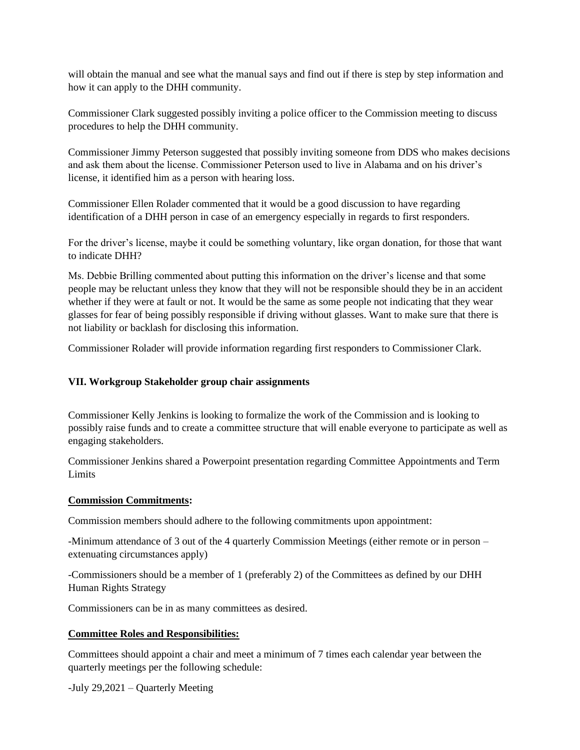will obtain the manual and see what the manual says and find out if there is step by step information and how it can apply to the DHH community.

Commissioner Clark suggested possibly inviting a police officer to the Commission meeting to discuss procedures to help the DHH community.

Commissioner Jimmy Peterson suggested that possibly inviting someone from DDS who makes decisions and ask them about the license. Commissioner Peterson used to live in Alabama and on his driver's license, it identified him as a person with hearing loss.

Commissioner Ellen Rolader commented that it would be a good discussion to have regarding identification of a DHH person in case of an emergency especially in regards to first responders.

For the driver's license, maybe it could be something voluntary, like organ donation, for those that want to indicate DHH?

Ms. Debbie Brilling commented about putting this information on the driver's license and that some people may be reluctant unless they know that they will not be responsible should they be in an accident whether if they were at fault or not. It would be the same as some people not indicating that they wear glasses for fear of being possibly responsible if driving without glasses. Want to make sure that there is not liability or backlash for disclosing this information.

Commissioner Rolader will provide information regarding first responders to Commissioner Clark.

#### **VII. Workgroup Stakeholder group chair assignments**

Commissioner Kelly Jenkins is looking to formalize the work of the Commission and is looking to possibly raise funds and to create a committee structure that will enable everyone to participate as well as engaging stakeholders.

Commissioner Jenkins shared a Powerpoint presentation regarding Committee Appointments and Term Limits

#### **Commission Commitments:**

Commission members should adhere to the following commitments upon appointment:

-Minimum attendance of 3 out of the 4 quarterly Commission Meetings (either remote or in person – extenuating circumstances apply)

-Commissioners should be a member of 1 (preferably 2) of the Committees as defined by our DHH Human Rights Strategy

Commissioners can be in as many committees as desired.

#### **Committee Roles and Responsibilities:**

Committees should appoint a chair and meet a minimum of 7 times each calendar year between the quarterly meetings per the following schedule:

-July 29,2021 – Quarterly Meeting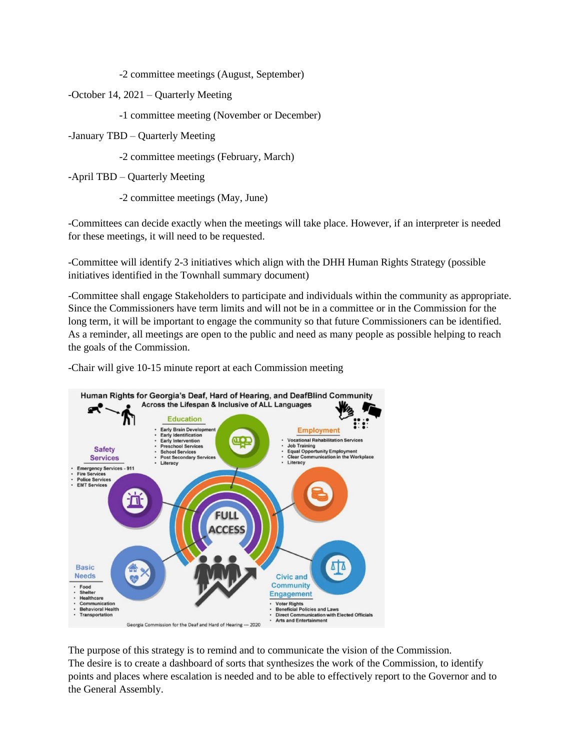-2 committee meetings (August, September)

-October 14, 2021 – Quarterly Meeting

-1 committee meeting (November or December)

-January TBD – Quarterly Meeting

-2 committee meetings (February, March)

-April TBD – Quarterly Meeting

-2 committee meetings (May, June)

-Committees can decide exactly when the meetings will take place. However, if an interpreter is needed for these meetings, it will need to be requested.

-Committee will identify 2-3 initiatives which align with the DHH Human Rights Strategy (possible initiatives identified in the Townhall summary document)

-Committee shall engage Stakeholders to participate and individuals within the community as appropriate. Since the Commissioners have term limits and will not be in a committee or in the Commission for the long term, it will be important to engage the community so that future Commissioners can be identified. As a reminder, all meetings are open to the public and need as many people as possible helping to reach the goals of the Commission.

-Chair will give 10-15 minute report at each Commission meeting



The purpose of this strategy is to remind and to communicate the vision of the Commission. The desire is to create a dashboard of sorts that synthesizes the work of the Commission, to identify points and places where escalation is needed and to be able to effectively report to the Governor and to the General Assembly.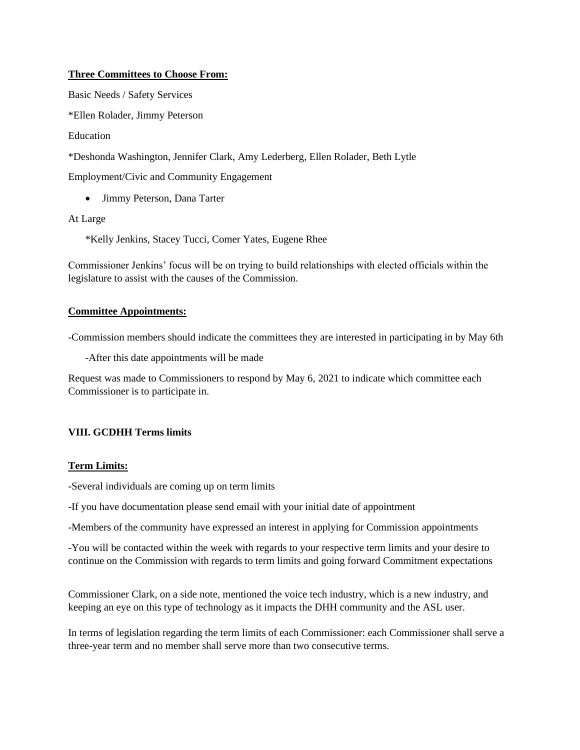### **Three Committees to Choose From:**

Basic Needs / Safety Services

\*Ellen Rolader, Jimmy Peterson

Education

\*Deshonda Washington, Jennifer Clark, Amy Lederberg, Ellen Rolader, Beth Lytle

Employment/Civic and Community Engagement

• Jimmy Peterson, Dana Tarter

At Large

\*Kelly Jenkins, Stacey Tucci, Comer Yates, Eugene Rhee

Commissioner Jenkins' focus will be on trying to build relationships with elected officials within the legislature to assist with the causes of the Commission.

#### **Committee Appointments:**

-Commission members should indicate the committees they are interested in participating in by May 6th

-After this date appointments will be made

Request was made to Commissioners to respond by May 6, 2021 to indicate which committee each Commissioner is to participate in.

## **VIII. GCDHH Terms limits**

#### **Term Limits:**

-Several individuals are coming up on term limits

-If you have documentation please send email with your initial date of appointment

-Members of the community have expressed an interest in applying for Commission appointments

-You will be contacted within the week with regards to your respective term limits and your desire to continue on the Commission with regards to term limits and going forward Commitment expectations

Commissioner Clark, on a side note, mentioned the voice tech industry, which is a new industry, and keeping an eye on this type of technology as it impacts the DHH community and the ASL user.

In terms of legislation regarding the term limits of each Commissioner: each Commissioner shall serve a three-year term and no member shall serve more than two consecutive terms.